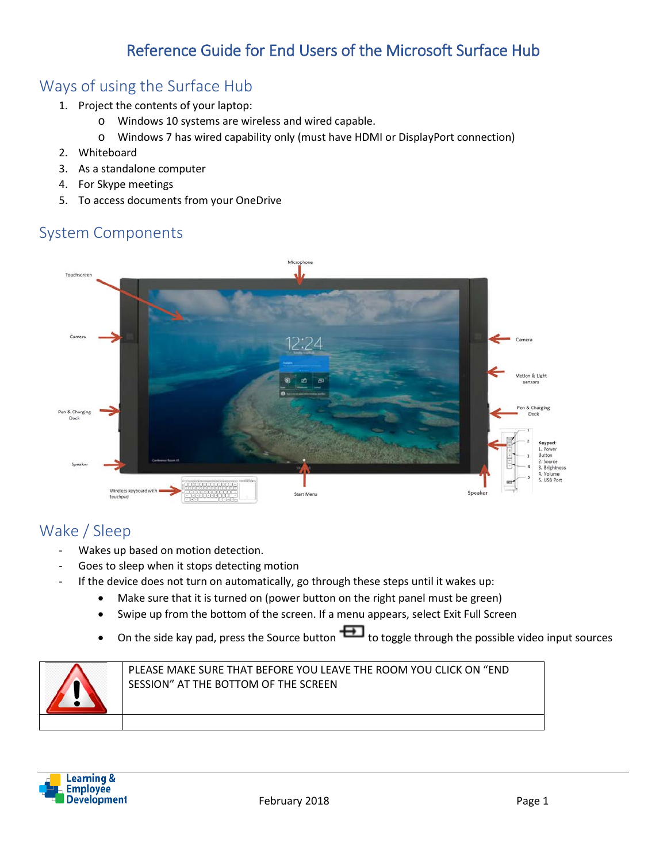# Reference Guide for End Users of the Microsoft Surface Hub

# Ways of using the Surface Hub

- 1. Project the contents of your laptop:
	- o Windows 10 systems are wireless and wired capable.
	- o Windows 7 has wired capability only (must have HDMI or DisplayPort connection)
- 2. Whiteboard
- 3. As a standalone computer
- 4. For Skype meetings
- 5. To access documents from your OneDrive

# System Components



# Wake / Sleep

- Wakes up based on motion detection.
- Goes to sleep when it stops detecting motion
- If the device does not turn on automatically, go through these steps until it wakes up:
	- Make sure that it is turned on (power button on the right panel must be green)
	- Swipe up from the bottom of the screen. If a menu appears, select Exit Full Screen
	- On the side kay pad, press the Source button  $\Box$  to toggle through the possible video input sources



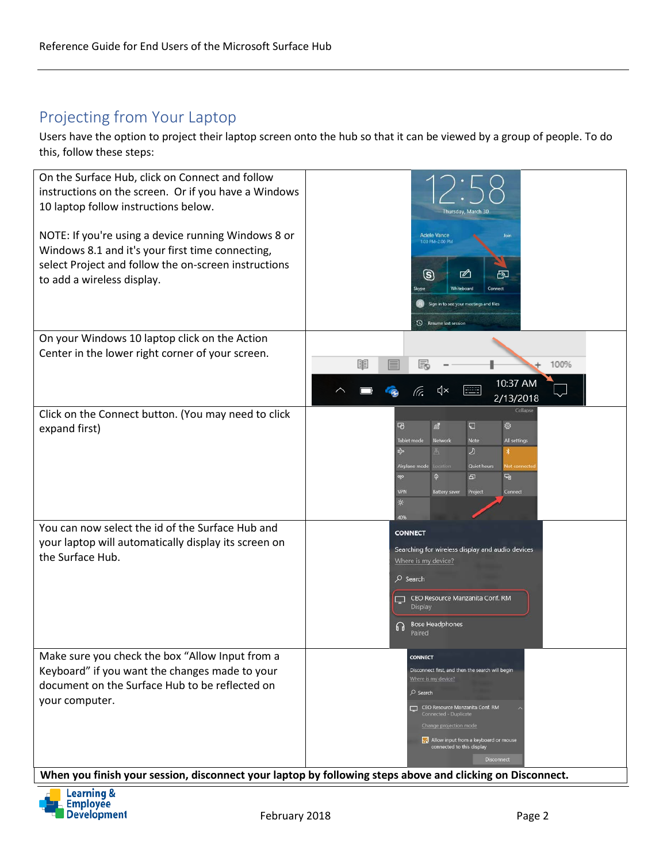# Projecting from Your Laptop

Users have the option to project their laptop screen onto the hub so that it can be viewed by a group of people. To do this, follow these steps:



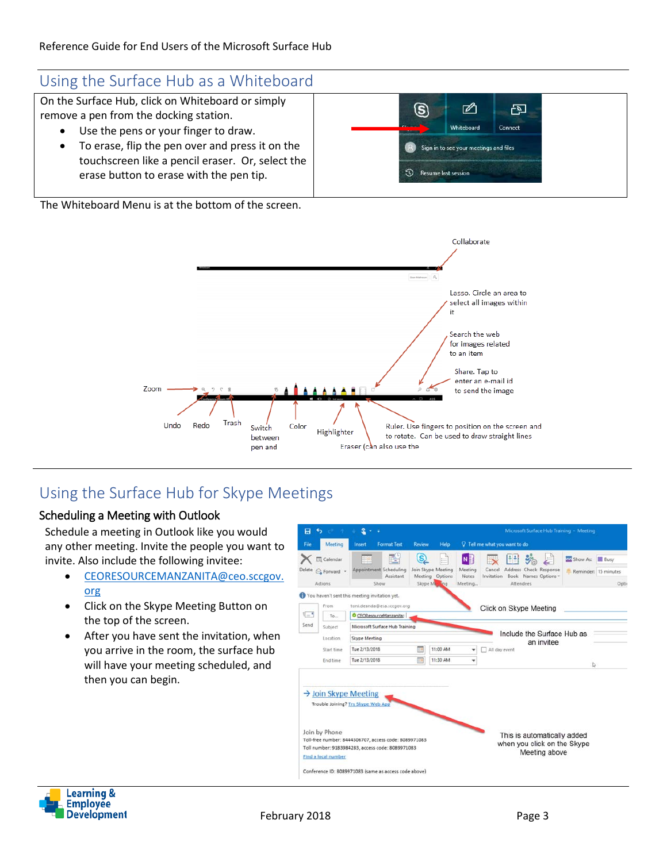## Using the Surface Hub as a Whiteboard

On the Surface Hub, click on Whiteboard or simply remove a pen from the docking station.

- Use the pens or your finger to draw.
	- To erase, flip the pen over and press it on the touchscreen like a pencil eraser. Or, select the erase button to erase with the pen tip.

The Whiteboard Menu is at the bottom of the screen.



# Using the Surface Hub for Skype Meetings

#### Scheduling a Meeting with Outlook

Schedule a meeting in Outlook like you would any other meeting. Invite the people you want to invite. Also include the following invitee:

- [CEORESOURCEMANZANITA@ceo.sccgov.](mailto:CEORESOURCEMANZANITA@ceo.sccgov.org) [org](mailto:CEORESOURCEMANZANITA@ceo.sccgov.org)
- Click on the Skype Meeting Button on the top of the screen.
- After you have sent the invitation, when you arrive in the room, the surface hub will have your meeting scheduled, and then you can begin.



⇙

Whiteboard Sign in to see your meetings and files

(S)

**3** Resume last session

 $\overline{E}$ 

Connect

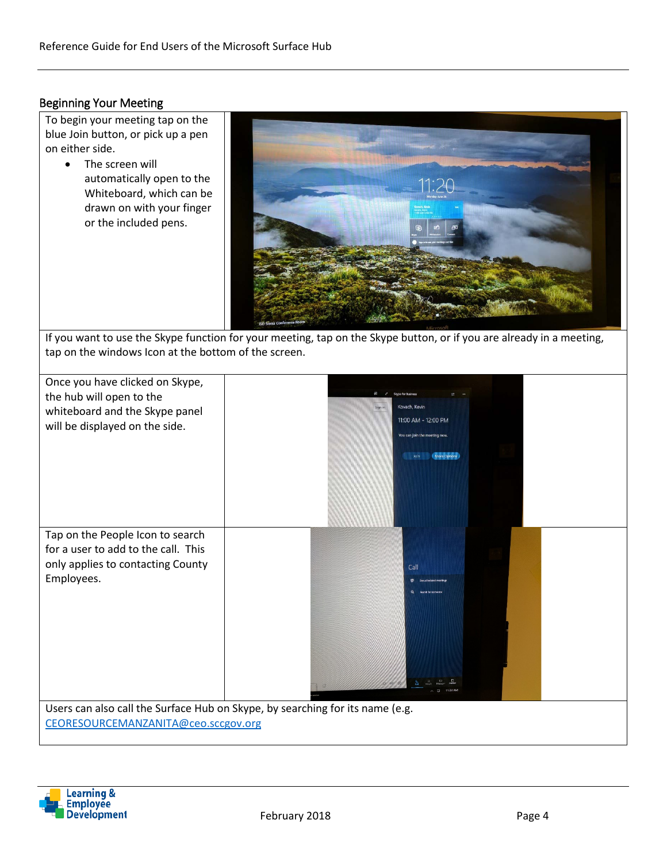#### Beginning Your Meeting

To begin your meeting tap on the blue Join button, or pick up a pen on either side.

> • The screen will automatically open to the Whiteboard, which can be drawn on with your finger or the included pens.



If you want to use the Skype function for your meeting, tap on the Skype button, or if you are already in a meeting, tap on the windows Icon at the bottom of the screen.

| Once you have clicked on Skype,<br>the hub will open to the<br>whiteboard and the Skype panel<br>will be displayed on the side. | Kovach, Kevin<br>Sign in<br>11:00 AM - 12:00 PM<br>You can join the meeting now.<br>More Options<br><b>Join</b> |  |
|---------------------------------------------------------------------------------------------------------------------------------|-----------------------------------------------------------------------------------------------------------------|--|
| Tap on the People Icon to search<br>for a user to add to the call. This<br>only applies to contacting County<br>Employees.      | Call                                                                                                            |  |
| Users can also call the Surface Hub on Skype, by searching for its name (e.g.<br>CEORESOURCEMANZANITA@ceo.sccgov.org            |                                                                                                                 |  |

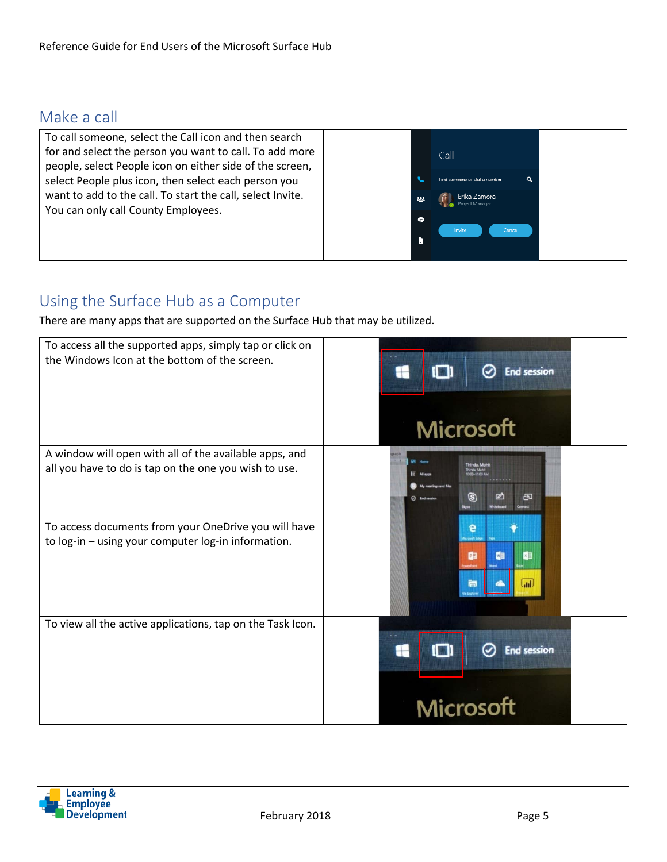### Make a call



## Using the Surface Hub as a Computer

There are many apps that are supported on the Surface Hub that may be utilized.